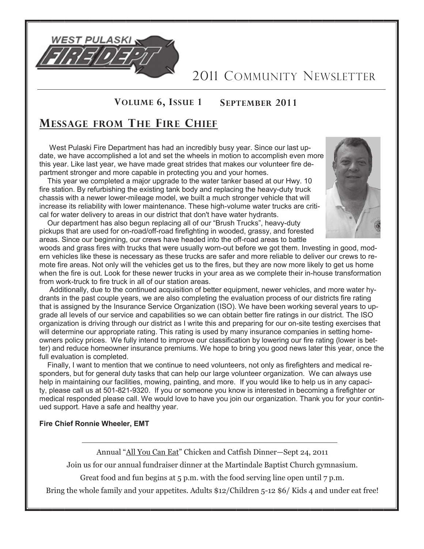

2011 COMMUNITY NEWSLETTER

### **VOLUME 6, ISSUE 1 SEPTEMBER 2011**

### **MESSAGE FROM THE FIRE CHIEF**

 West Pulaski Fire Department has had an incredibly busy year. Since our last update, we have accomplished a lot and set the wheels in motion to accomplish even more this year. Like last year, we have made great strides that makes our volunteer fire department stronger and more capable in protecting you and your homes.

This year we completed a major upgrade to the water tanker based at our Hwy. 10 fire station. By refurbishing the existing tank body and replacing the heavy-duty truck chassis with a newer lower-mileage model, we built a much stronger vehicle that will increase its reliability with lower maintenance. These high-volume water trucks are critical for water delivery to areas in our district that don't have water hydrants.



Our department has also begun replacing all of our "Brush Trucks", heavy-duty pickups that are used for on-road/off-road firefighting in wooded, grassy, and forested areas. Since our beginning, our crews have headed into the off-road areas to battle

woods and grass fires with trucks that were usually worn-out before we got them. Investing in good, modern vehicles like these is necessary as these trucks are safer and more reliable to deliver our crews to remote fire areas. Not only will the vehicles get us to the fires, but they are now more likely to get us home when the fire is out. Look for these newer trucks in your area as we complete their in-house transformation from work-truck to fire truck in all of our station areas.

Additionally, due to the continued acquisition of better equipment, newer vehicles, and more water hydrants in the past couple years, we are also completing the evaluation process of our districts fire rating that is assigned by the Insurance Service Organization (ISO). We have been working several years to upgrade all levels of our service and capabilities so we can obtain better fire ratings in our district. The ISO organization is driving through our district as I write this and preparing for our on-site testing exercises that will determine our appropriate rating. This rating is used by many insurance companies in setting homeowners policy prices. We fully intend to improve our classification by lowering our fire rating (lower is better) and reduce homeowner insurance premiums. We hope to bring you good news later this year, once the full evaluation is completed.

 Finally, I want to mention that we continue to need volunteers, not only as firefighters and medical responders, but for general duty tasks that can help our large volunteer organization. We can always use help in maintaining our facilities, mowing, painting, and more. If you would like to help us in any capacity, please call us at 501-821-9320. If you or someone you know is interested in becoming a firefighter or medical responded please call. We would love to have you join our organization. Thank you for your continued support. Have a safe and healthy year.

**Fire Chief Ronnie Wheeler, EMT**

Annual "All You Can Eat" Chicken and Catfish Dinner-Sept 24, 2011

Join us for our annual fundraiser dinner at the Martindale Baptist Church gymnasium.

Great food and fun begins at 5 p.m. with the food serving line open until 7 p.m.

Bring the whole family and your appetites. Adults \$12/Children 5-12 \$6/ Kids 4 and under eat free!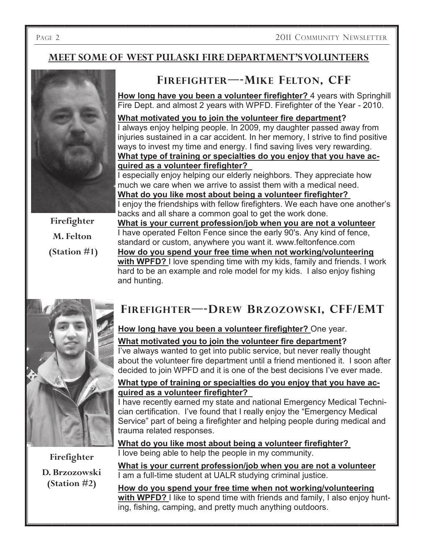### **MEET SOME OF WEST PULASKI FIRE DEPARTMENT'S VOLUNTEERS**



**(Station #1)**

standard or custom, anywhere you want it. www.feltonfence.com **How do you spend your free time when not working/volunteering with WPFD?** I love spending time with my kids, family and friends. I work hard to be an example and role model for my kids. I also enjoy fishing and hunting.



**Firefighter D. Brzozowski (Station #2)**

# **FIREFIGHTER—-DREW BRZOZOWSKI, CFF /EMT**

### **How long have you been a volunteer firefighter?** One year.

### **What motivated you to join the volunteer fire department?**

I've always wanted to get into public service, but never really thought about the volunteer fire department until a friend mentioned it. I soon after decided to join WPFD and it is one of the best decisions I've ever made.

### **What type of training or specialties do you enjoy that you have acquired as a volunteer firefighter?**

I have recently earned my state and national Emergency Medical Technician certification. I've found that I really enjoy the "Emergency Medical Service" part of being a firefighter and helping people during medical and trauma related responses.

**What do you like most about being a volunteer firefighter?** I love being able to help the people in my community.

**What is your current profession/job when you are not a volunteer**  I am a full-time student at UALR studying criminal justice.

**How do you spend your free time when not working/volunteering with WPFD?** I like to spend time with friends and family, I also enjoy hunting, fishing, camping, and pretty much anything outdoors.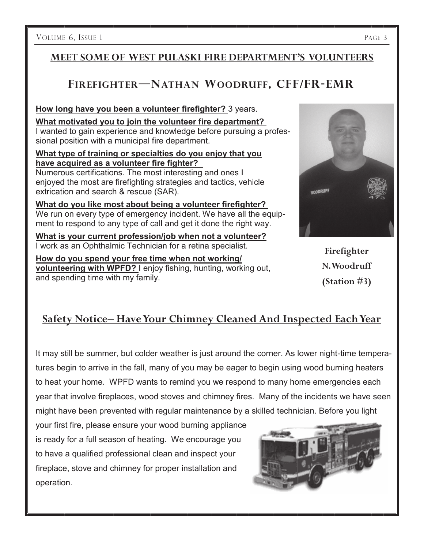VOLUME 6, ISSUE 1 PAGE 3

### **MEET SOME OF WEST PULASKI FIRE DEPARTMENT'S VOLUNTEERS**

## **FIREFIGHTER—NATHAN WOODRUFF, CFF /FR-EMR**

**How long have you been a volunteer firefighter?** 3 years.

**What motivated you to join the volunteer fire department?** I wanted to gain experience and knowledge before pursuing a professional position with a municipal fire department.

#### **What type of training or specialties do you enjoy that you have acquired as a volunteer fire fighter?**

Numerous certifications. The most interesting and ones I enjoyed the most are firefighting strategies and tactics, vehicle extrication and search & rescue (SAR).

**What do you like most about being a volunteer firefighter?** We run on every type of emergency incident. We have all the equipment to respond to any type of call and get it done the right way.

**What is your current profession/job when not a volunteer?**  I work as an Ophthalmic Technician for a retina specialist.

**How do you spend your free time when not working/ volunteering with WPFD?** I enjoy fishing, hunting, working out, and spending time with my family.



**Firefighter N. Woodruff (Station #3)**

## **Safety Notice– Have Your Chimney Cleaned And Inspected Each Year**

It may still be summer, but colder weather is just around the corner. As lower night-time temperatures begin to arrive in the fall, many of you may be eager to begin using wood burning heaters to heat your home. WPFD wants to remind you we respond to many home emergencies each year that involve fireplaces, wood stoves and chimney fires. Many of the incidents we have seen might have been prevented with regular maintenance by a skilled technician. Before you light

your first fire, please ensure your wood burning appliance is ready for a full season of heating. We encourage you to have a qualified professional clean and inspect your fireplace, stove and chimney for proper installation and operation.

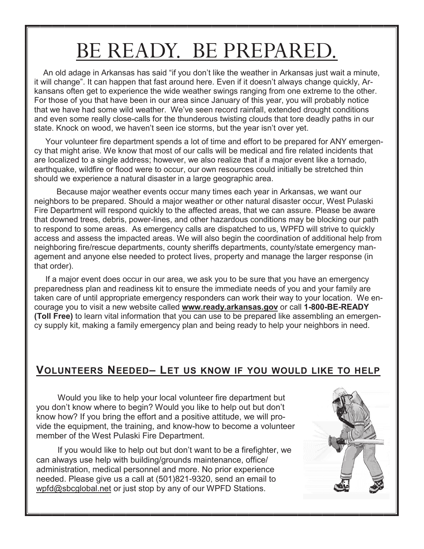# BE READY. BE PREPARED.

An old adage in Arkansas has said "if you don't like the weather in Arkansas just wait a minute, it will change‖. It can happen that fast around here. Even if it doesn't always change quickly, Arkansans often get to experience the wide weather swings ranging from one extreme to the other. For those of you that have been in our area since January of this year, you will probably notice that we have had some wild weather. We've seen record rainfall, extended drought conditions and even some really close-calls for the thunderous twisting clouds that tore deadly paths in our state. Knock on wood, we haven't seen ice storms, but the year isn't over yet.

 Your volunteer fire department spends a lot of time and effort to be prepared for ANY emergency that might arise. We know that most of our calls will be medical and fire related incidents that are localized to a single address; however, we also realize that if a major event like a tornado, earthquake, wildfire or flood were to occur, our own resources could initially be stretched thin should we experience a natural disaster in a large geographic area.

 Because major weather events occur many times each year in Arkansas, we want our neighbors to be prepared. Should a major weather or other natural disaster occur, West Pulaski Fire Department will respond quickly to the affected areas, that we can assure. Please be aware that downed trees, debris, power-lines, and other hazardous conditions may be blocking our path to respond to some areas. As emergency calls are dispatched to us, WPFD will strive to quickly access and assess the impacted areas. We will also begin the coordination of additional help from neighboring fire/rescue departments, county sheriffs departments, county/state emergency management and anyone else needed to protect lives, property and manage the larger response (in that order).

 If a major event does occur in our area, we ask you to be sure that you have an emergency preparedness plan and readiness kit to ensure the immediate needs of you and your family are taken care of until appropriate emergency responders can work their way to your location. We encourage you to visit a new website called **www.ready.arkansas.gov** or call **1-800-BE-READY (Toll Free)** to learn vital information that you can use to be prepared like assembling an emergency supply kit, making a family emergency plan and being ready to help your neighbors in need.

### **VOLUNTEERS NEEDED– LET US KNOW IF YOU WOULD LIKE TO HELP**

Would you like to help your local volunteer fire department but you don't know where to begin? Would you like to help out but don't know how? If you bring the effort and a positive attitude, we will provide the equipment, the training, and know-how to become a volunteer member of the West Pulaski Fire Department.

If you would like to help out but don't want to be a firefighter, we can always use help with building/grounds maintenance, office/ administration, medical personnel and more. No prior experience needed. Please give us a call at (501)821-9320, send an email to [wpfd@sbcglobal.net](mailto:wpfd@sbcglobal.net) or just stop by any of our WPFD Stations.

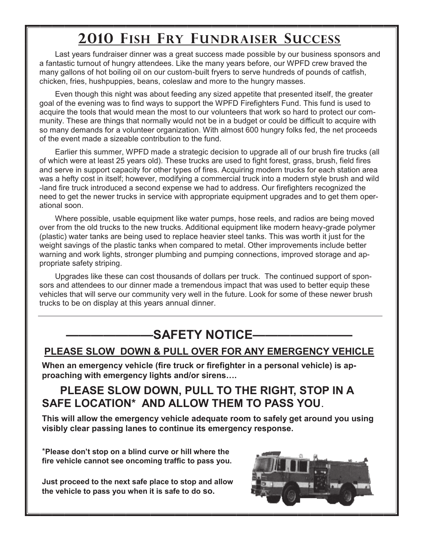# **2010 FISH FRY FUNDRAISER SUCCESS**

Last years fundraiser dinner was a great success made possible by our business sponsors and a fantastic turnout of hungry attendees. Like the many years before, our WPFD crew braved the many gallons of hot boiling oil on our custom-built fryers to serve hundreds of pounds of catfish, chicken, fries, hushpuppies, beans, coleslaw and more to the hungry masses.

Even though this night was about feeding any sized appetite that presented itself, the greater goal of the evening was to find ways to support the WPFD Firefighters Fund. This fund is used to acquire the tools that would mean the most to our volunteers that work so hard to protect our community. These are things that normally would not be in a budget or could be difficult to acquire with so many demands for a volunteer organization. With almost 600 hungry folks fed, the net proceeds of the event made a sizeable contribution to the fund.

Earlier this summer, WPFD made a strategic decision to upgrade all of our brush fire trucks (all of which were at least 25 years old). These trucks are used to fight forest, grass, brush, field fires and serve in support capacity for other types of fires. Acquiring modern trucks for each station area was a hefty cost in itself; however, modifying a commercial truck into a modern style brush and wild -land fire truck introduced a second expense we had to address. Our firefighters recognized the need to get the newer trucks in service with appropriate equipment upgrades and to get them operational soon.

Where possible, usable equipment like water pumps, hose reels, and radios are being moved over from the old trucks to the new trucks. Additional equipment like modern heavy-grade polymer (plastic) water tanks are being used to replace heavier steel tanks. This was worth it just for the weight savings of the plastic tanks when compared to metal. Other improvements include better warning and work lights, stronger plumbing and pumping connections, improved storage and appropriate safety striping.

Upgrades like these can cost thousands of dollars per truck. The continued support of sponsors and attendees to our dinner made a tremendous impact that was used to better equip these vehicles that will serve our community very well in the future. Look for some of these newer brush trucks to be on display at this years annual dinner.

# **———————SAFETY NOTICE————————**

### **PLEASE SLOW DOWN & PULL OVER FOR ANY EMERGENCY VEHICLE**

**When an emergency vehicle (fire truck or firefighter in a personal vehicle) is approaching with emergency lights and/or sirens….** 

## **PLEASE SLOW DOWN, PULL TO THE RIGHT, STOP IN A SAFE LOCATION\* AND ALLOW THEM TO PASS YOU**.

**This will allow the emergency vehicle adequate room to safely get around you using visibly clear passing lanes to continue its emergency response.** 

\***Please don't stop on a blind curve or hill where the fire vehicle cannot see oncoming traffic to pass you.**

**Just proceed to the next safe place to stop and allow the vehicle to pass you when it is safe to do so.**

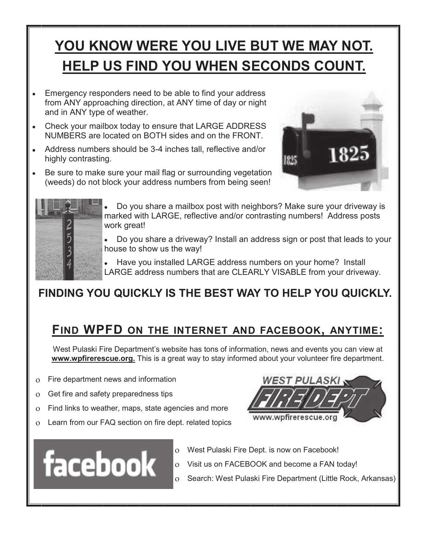# **YOU KNOW WERE YOU LIVE BUT WE MAY NOT. HELP US FIND YOU WHEN SECONDS COUNT.**

- Emergency responders need to be able to find your address from ANY approaching direction, at ANY time of day or night and in ANY type of weather.
- Check your mailbox today to ensure that LARGE ADDRESS NUMBERS are located on BOTH sides and on the FRONT.
- Address numbers should be 3-4 inches tall, reflective and/or highly contrasting.
- Be sure to make sure your mail flag or surrounding vegetation (weeds) do not block your address numbers from being seen!





- Do you share a mailbox post with neighbors? Make sure your driveway is marked with LARGE, reflective and/or contrasting numbers! Address posts work great!
- Do you share a driveway? Install an address sign or post that leads to your house to show us the way!
- Have you installed LARGE address numbers on your home? Install LARGE address numbers that are CLEARLY VISABLE from your driveway.

# **FINDING YOU QUICKLY IS THE BEST WAY TO HELP YOU QUICKLY.**

# **FIND WPFD ON THE INTERNET AND FACEBOOK, ANYTIME:**

West Pulaski Fire Department's website has tons of information, news and events you can view at **www.wpfirerescue.org.** This is a great way to stay informed about your volunteer fire department.

- Fire department news and information  $\overline{O}$
- Get fire and safety preparedness tips  $\overline{O}$
- Find links to weather, maps, state agencies and more  $\overline{O}$
- Learn from our FAQ section on fire dept. related topics  $\overline{O}$





- West Pulaski Fire Dept. is now on Facebook!
- Visit us on FACEBOOK and become a FAN today!  $\overline{O}$ 
	- Search: West Pulaski Fire Department (Little Rock, Arkansas)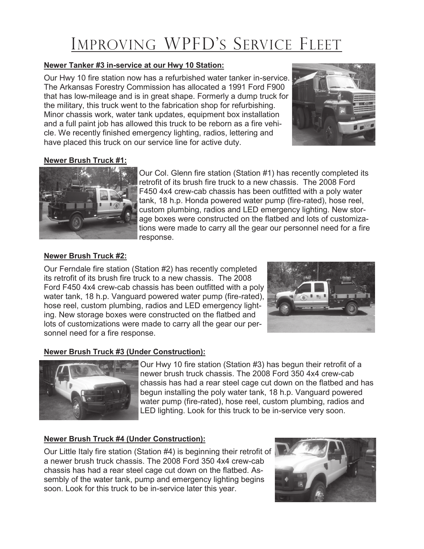# IMPROVING WPFD'S SERVICE FLEET

#### **Newer Tanker #3 in-service at our Hwy 10 Station:**

Our Hwy 10 fire station now has a refurbished water tanker in-service. The Arkansas Forestry Commission has allocated a 1991 Ford F900 that has low-mileage and is in great shape. Formerly a dump truck for the military, this truck went to the fabrication shop for refurbishing. Minor chassis work, water tank updates, equipment box installation and a full paint job has allowed this truck to be reborn as a fire vehicle. We recently finished emergency lighting, radios, lettering and have placed this truck on our service line for active duty.



### **Newer Brush Truck #1:**



Our Col. Glenn fire station (Station #1) has recently completed its retrofit of its brush fire truck to a new chassis. The 2008 Ford F450 4x4 crew-cab chassis has been outfitted with a poly water tank, 18 h.p. Honda powered water pump (fire-rated), hose reel, custom plumbing, radios and LED emergency lighting. New storage boxes were constructed on the flatbed and lots of customizations were made to carry all the gear our personnel need for a fire response.

#### **Newer Brush Truck #2:**

Our Ferndale fire station (Station #2) has recently completed its retrofit of its brush fire truck to a new chassis. The 2008 Ford F450 4x4 crew-cab chassis has been outfitted with a poly water tank, 18 h.p. Vanguard powered water pump (fire-rated), hose reel, custom plumbing, radios and LED emergency lighting. New storage boxes were constructed on the flatbed and lots of customizations were made to carry all the gear our personnel need for a fire response.



### **Newer Brush Truck #3 (Under Construction):**



Our Hwy 10 fire station (Station #3) has begun their retrofit of a newer brush truck chassis. The 2008 Ford 350 4x4 crew-cab chassis has had a rear steel cage cut down on the flatbed and has begun installing the poly water tank, 18 h.p. Vanguard powered water pump (fire-rated), hose reel, custom plumbing, radios and LED lighting. Look for this truck to be in-service very soon.

### **Newer Brush Truck #4 (Under Construction):**

Our Little Italy fire station (Station #4) is beginning their retrofit of a newer brush truck chassis. The 2008 Ford 350 4x4 crew-cab chassis has had a rear steel cage cut down on the flatbed. Assembly of the water tank, pump and emergency lighting begins soon. Look for this truck to be in-service later this year.